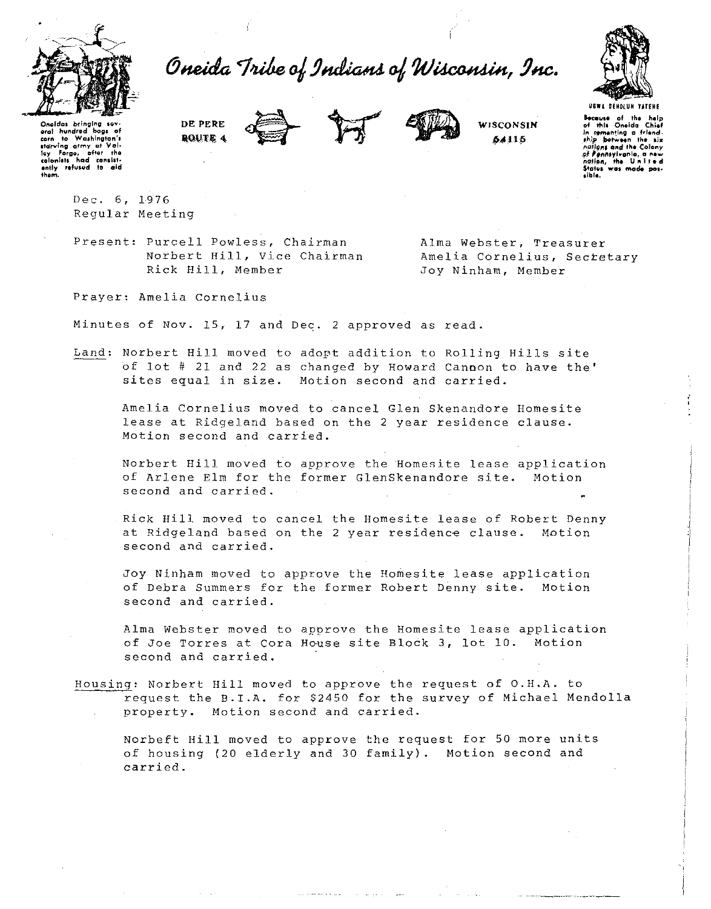

Oneida Tribe of Indians of Wisconsin, Inc.



Oneldas bringing ser eral hundred bags of corn to Washington's starving army at Valley Forge, after the ently refused to

them.

DE PERE **ROUTE 4** 





WISCONSIN 54115

**Because of the help**<br>of this Oneida Chief sementing a friend. ship botween the six of one and the Colony of Pennsylvania, a ne  $\overline{u}$ .  $\overline{v}$ lation, the United<br>tates was mode posaible i

Dec. 6, 1976 Reqular Meeting

Present: Purcell Powless, Chairman Norbert Hill, Vice Chairman Rick Hill, Member

Alma Webster, Treasurer Amelia Cornelius, Secretary Joy Ninham, Member

Prayer: Amelia Cornelius

Minutes of Nov. 15, 17 and Dec. 2 approved as read.

Land: Norbert Hill moved to adopt addition to Rolling Hills site of lot # 21 and 22 as changed by Howard Cannon to have the' sites equal in size. Motion second and carried.

Amelia Cornelius moved to cancel Glen Skenandore Homesite lease at Ridgeland based on the 2 year residence clause. Motion second and carried.

Norbert Hill moved to approve the Homesite lease application of Arlene Elm for the former GlenSkenandore site. Motion second and carried.

Rick Hill moved to cancel the Homesite lease of Robert Denny at Ridgeland based on the 2 year residence clause. Motion second and carried.

Joy Ninham moved to approve the Homesite lease application of Debra Summers for the former Robert Denny site. Motion second and carried.

Alma Webster moved to approve the Homesite lease application of Joe Torres at Cora House site Block 3, lot 10. Motion second and carried.

Housing: Norbert Hill moved to approve the request of O.H.A. to request the B.I.A. for \$2450 for the survey of Michael Mendolla property. Motion second and carried.

Norbeft Hill moved to approve the request for 50 more units of housing (20 elderly and 30 family). Motion second and carried.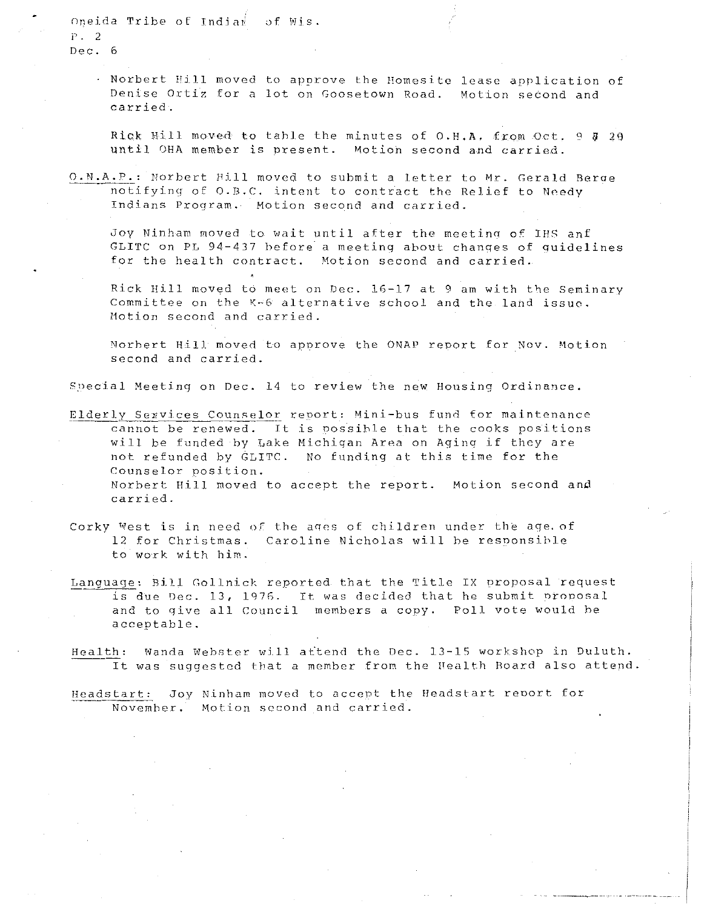Oneida Tribe of India $\mathbb{R}$  of Wis. p . 2 Dec. 6

> Norbert Hill moved to approve the Homesite lease application of Denise Ortiz for a lot on Goosetown Road. Motion second and carried.

> Rick Hill moved to table the minutes of O.H.A. from Oct. 9  $\bar{y}$  29 until OHA member is present. Motion second and carried.

O.N.A.P.: Norbert Hill moved to submit a letter to Mr. Gerald Berae notifying of O.B.C. intent to contract the Relief to Needy Indians Program. Motion second and carried.

Joy Ninham moved to wait until after the meeting of IHS anf GLITC on PL 94-437 before a meeting about changes of quidelines for the health contract. Motion second and carried.

Rick Hill moved to meet on Dec. 16-17 at 9 am with tbe Seminary Committee on the  $K-6$  alternative school and the land issue. Motion second and carried.

Norhert Hill moved to aporove the ONAP report for Nov. Motion second and carried .

Special Meeting on Dec. 14 to review the new Housing Ordinance.

- Elderly Services Counselor report: Mini-bus fund for maintenance cannot be renewed. It is possible that the cooks positions will be funded hy Lake Michigan Area on Aging if they are not refunded by GLITC. No funding at this time for the Counselor position. Norhert Hill moved to accept the report. Motion second and carried.
- Corky West is in need of the ages of children under the age. of 12 for Christmas. Caroline Nicholas will be responsible to work with him.
- Language: Bill Gollnick reported that the Title IX proposal request is due Dec. 13, 1976. It was decided that he submit proposal and to qive all Council members a copy. Poll vote would he acceptable.
- Health: Wanda Webster will attend the Dec. 13-15 workshop in Duluth.<br>It was suggested that a member from the Nealth Board also attend It was suggested that a member from the Health Board also attend.

Heads tart: Joy Ninham moved to accept the fleadstart reoort for Novemher. Motion second and carried.